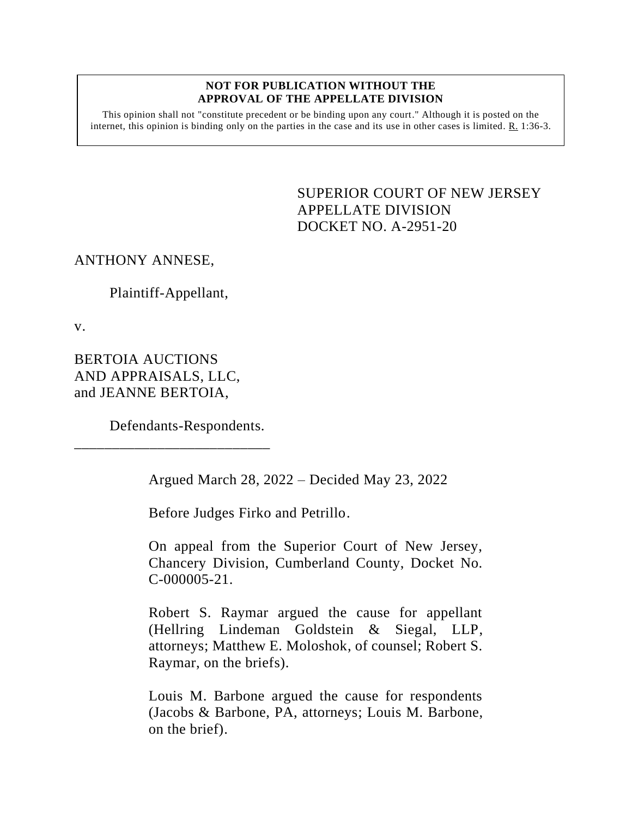#### **NOT FOR PUBLICATION WITHOUT THE APPROVAL OF THE APPELLATE DIVISION**

This opinion shall not "constitute precedent or be binding upon any court." Although it is posted on the internet, this opinion is binding only on the parties in the case and its use in other cases is limited.  $R_1$  1:36-3.

> <span id="page-0-0"></span>SUPERIOR COURT OF NEW JERSEY APPELLATE DIVISION DOCKET NO. A-2951-20

ANTHONY ANNESE,

Plaintiff-Appellant,

v.

BERTOIA AUCTIONS AND APPRAISALS, LLC, and JEANNE BERTOIA,

Defendants-Respondents.

\_\_\_\_\_\_\_\_\_\_\_\_\_\_\_\_\_\_\_\_\_\_\_\_\_\_

Argued March 28, 2022 – Decided May 23, 2022

Before Judges Firko and Petrillo.

On appeal from the Superior Court of New Jersey, Chancery Division, Cumberland County, Docket No. C-000005-21.

Robert S. Raymar argued the cause for appellant (Hellring Lindeman Goldstein & Siegal, LLP, attorneys; Matthew E. Moloshok, of counsel; Robert S. Raymar, on the briefs).

Louis M. Barbone argued the cause for respondents (Jacobs & Barbone, PA, attorneys; Louis M. Barbone, on the brief).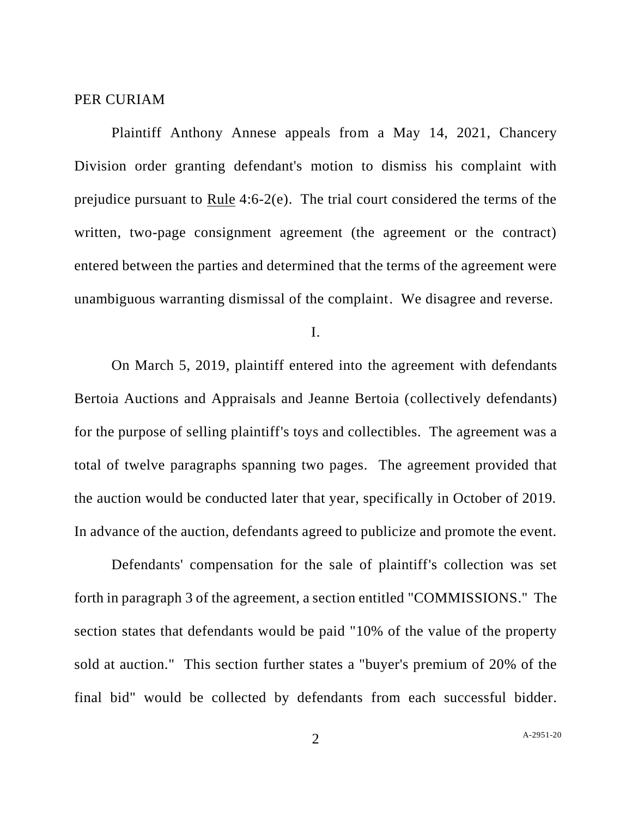### PER CURIAM

Plaintiff Anthony Annese appeals from a May 14, 2021, Chancery Division order granting defendant's motion to dismiss his complaint with prejudice pursuant to Rule 4:6-2(e). The trial court considered the terms of the written, two-page consignment agreement (the agreement or the contract) entered between the parties and determined that the terms of the agreement were unambiguous warranting dismissal of the complaint. We disagree and reverse.

I.

On March 5, 2019, plaintiff entered into the agreement with defendants Bertoia Auctions and Appraisals and Jeanne Bertoia (collectively defendants) for the purpose of selling plaintiff's toys and collectibles. The agreement was a total of twelve paragraphs spanning two pages. The agreement provided that the auction would be conducted later that year, specifically in October of 2019. In advance of the auction, defendants agreed to publicize and promote the event.

Defendants' compensation for the sale of plaintiff's collection was set forth in paragraph 3 of the agreement, a section entitled "COMMISSIONS." The section states that defendants would be paid "10% of the value of the property sold at auction." This section further states a "buyer's premium of 20% of the final bid" would be collected by defendants from each successful bidder.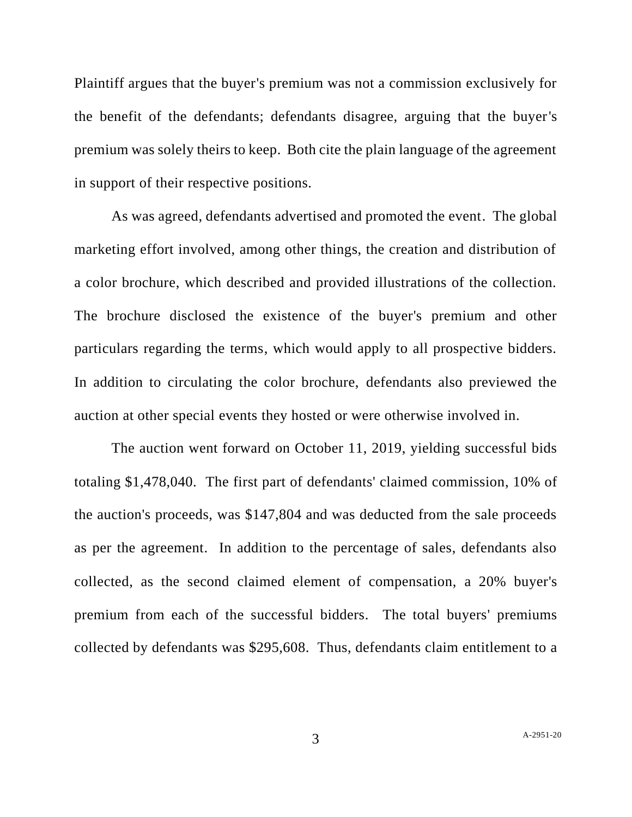Plaintiff argues that the buyer's premium was not a commission exclusively for the benefit of the defendants; defendants disagree, arguing that the buyer's premium was solely theirs to keep. Both cite the plain language of the agreement in support of their respective positions.

As was agreed, defendants advertised and promoted the event. The global marketing effort involved, among other things, the creation and distribution of a color brochure, which described and provided illustrations of the collection. The brochure disclosed the existence of the buyer's premium and other particulars regarding the terms, which would apply to all prospective bidders. In addition to circulating the color brochure, defendants also previewed the auction at other special events they hosted or were otherwise involved in.

The auction went forward on October 11, 2019, yielding successful bids totaling \$1,478,040. The first part of defendants' claimed commission, 10% of the auction's proceeds, was \$147,804 and was deducted from the sale proceeds as per the agreement. In addition to the percentage of sales, defendants also collected, as the second claimed element of compensation, a 20% buyer's premium from each of the successful bidders. The total buyers' premiums collected by defendants was \$295,608. Thus, defendants claim entitlement to a

3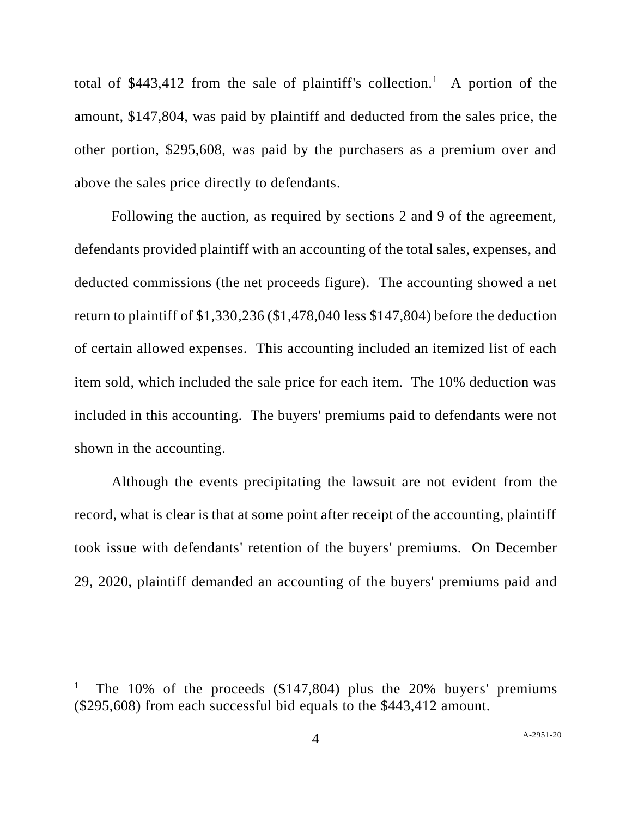total of  $$443,412$  from the sale of plaintiff's collection.<sup>1</sup> A portion of the amount, \$147,804, was paid by plaintiff and deducted from the sales price, the other portion, \$295,608, was paid by the purchasers as a premium over and above the sales price directly to defendants.

Following the auction, as required by sections 2 and 9 of the agreement, defendants provided plaintiff with an accounting of the total sales, expenses, and deducted commissions (the net proceeds figure). The accounting showed a net return to plaintiff of \$1,330,236 (\$1,478,040 less \$147,804) before the deduction of certain allowed expenses. This accounting included an itemized list of each item sold, which included the sale price for each item. The 10% deduction was included in this accounting. The buyers' premiums paid to defendants were not shown in the accounting.

Although the events precipitating the lawsuit are not evident from the record, what is clear is that at some point after receipt of the accounting, plaintiff took issue with defendants' retention of the buyers' premiums. On December 29, 2020, plaintiff demanded an accounting of the buyers' premiums paid and

<sup>1</sup> The 10% of the proceeds (\$147,804) plus the 20% buyers' premiums (\$295,608) from each successful bid equals to the \$443,412 amount.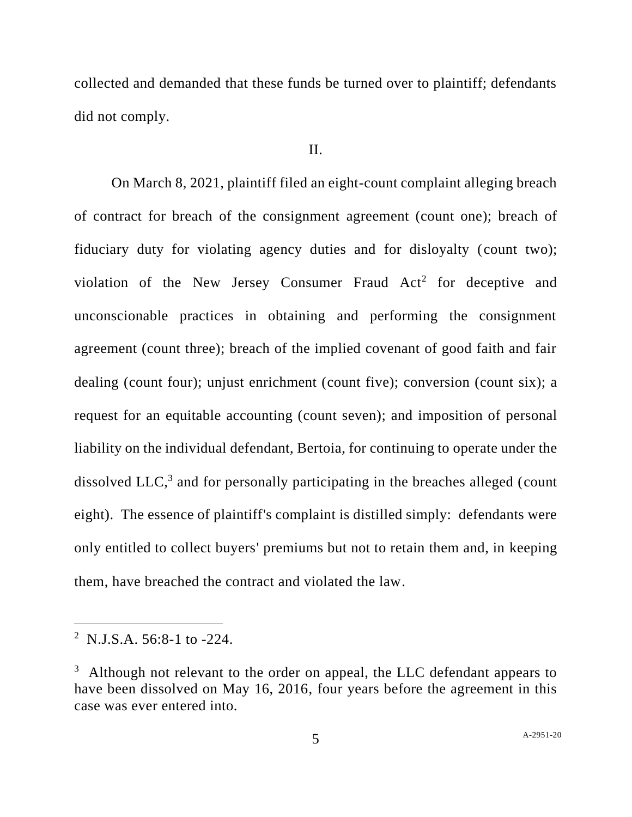collected and demanded that these funds be turned over to plaintiff; defendants did not comply.

### II.

On March 8, 2021, plaintiff filed an eight-count complaint alleging breach of contract for breach of the consignment agreement (count one); breach of fiduciary duty for violating agency duties and for disloyalty (count two); violation of the New Jersey Consumer Fraud Act<sup>2</sup> for deceptive and unconscionable practices in obtaining and performing the consignment agreement (count three); breach of the implied covenant of good faith and fair dealing (count four); unjust enrichment (count five); conversion (count six); a request for an equitable accounting (count seven); and imposition of personal liability on the individual defendant, Bertoia, for continuing to operate under the dissolved LLC, 3 and for personally participating in the breaches alleged (count eight). The essence of plaintiff's complaint is distilled simply: defendants were only entitled to collect buyers' premiums but not to retain them and, in keeping them, have breached the contract and violated the law.

<sup>&</sup>lt;sup>2</sup> N.J.S.A. 56:8-1 to -224.

 $3\overline{)}$  Although not relevant to the order on appeal, the LLC defendant appears to have been dissolved on May 16, 2016, four years before the agreement in this case was ever entered into.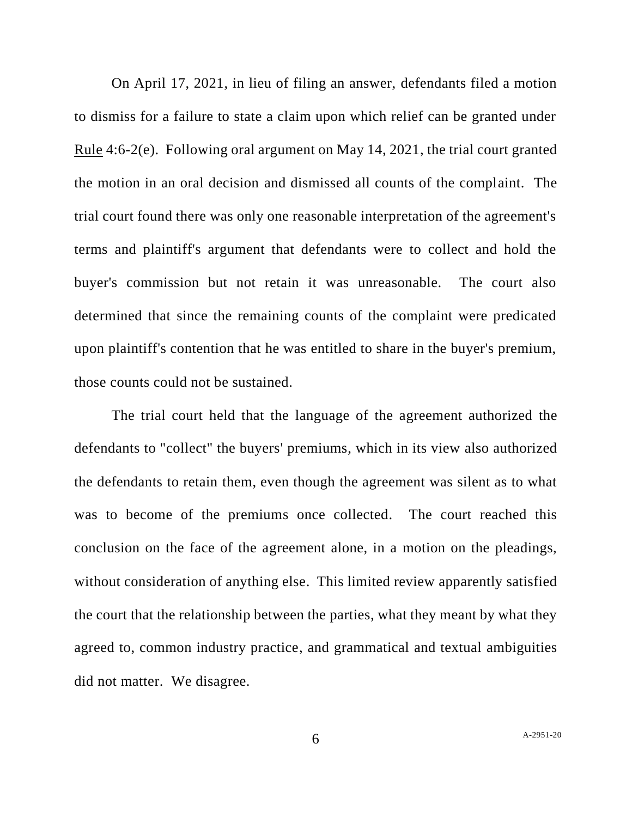On April 17, 2021, in lieu of filing an answer, defendants filed a motion to dismiss for a failure to state a claim upon which relief can be granted under Rule 4:6-2(e). Following oral argument on May 14, 2021, the trial court granted the motion in an oral decision and dismissed all counts of the complaint. The trial court found there was only one reasonable interpretation of the agreement's terms and plaintiff's argument that defendants were to collect and hold the buyer's commission but not retain it was unreasonable. The court also determined that since the remaining counts of the complaint were predicated upon plaintiff's contention that he was entitled to share in the buyer's premium, those counts could not be sustained.

The trial court held that the language of the agreement authorized the defendants to "collect" the buyers' premiums, which in its view also authorized the defendants to retain them, even though the agreement was silent as to what was to become of the premiums once collected. The court reached this conclusion on the face of the agreement alone, in a motion on the pleadings, without consideration of anything else. This limited review apparently satisfied the court that the relationship between the parties, what they meant by what they agreed to, common industry practice, and grammatical and textual ambiguities did not matter. We disagree.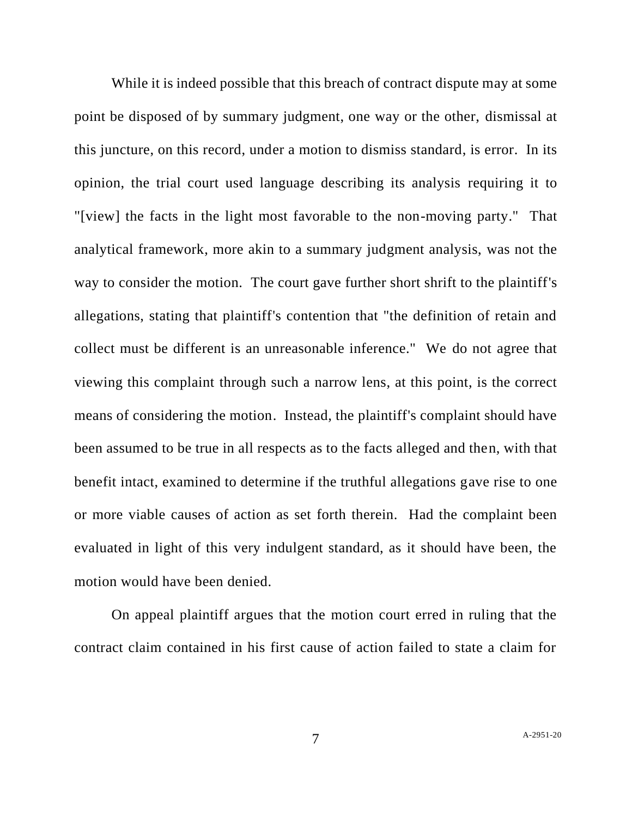While it is indeed possible that this breach of contract dispute may at some point be disposed of by summary judgment, one way or the other, dismissal at this juncture, on this record, under a motion to dismiss standard, is error. In its opinion, the trial court used language describing its analysis requiring it to "[view] the facts in the light most favorable to the non-moving party." That analytical framework, more akin to a summary judgment analysis, was not the way to consider the motion. The court gave further short shrift to the plaintiff's allegations, stating that plaintiff's contention that "the definition of retain and collect must be different is an unreasonable inference." We do not agree that viewing this complaint through such a narrow lens, at this point, is the correct means of considering the motion. Instead, the plaintiff's complaint should have been assumed to be true in all respects as to the facts alleged and then, with that benefit intact, examined to determine if the truthful allegations gave rise to one or more viable causes of action as set forth therein. Had the complaint been evaluated in light of this very indulgent standard, as it should have been, the motion would have been denied.

On appeal plaintiff argues that the motion court erred in ruling that the contract claim contained in his first cause of action failed to state a claim for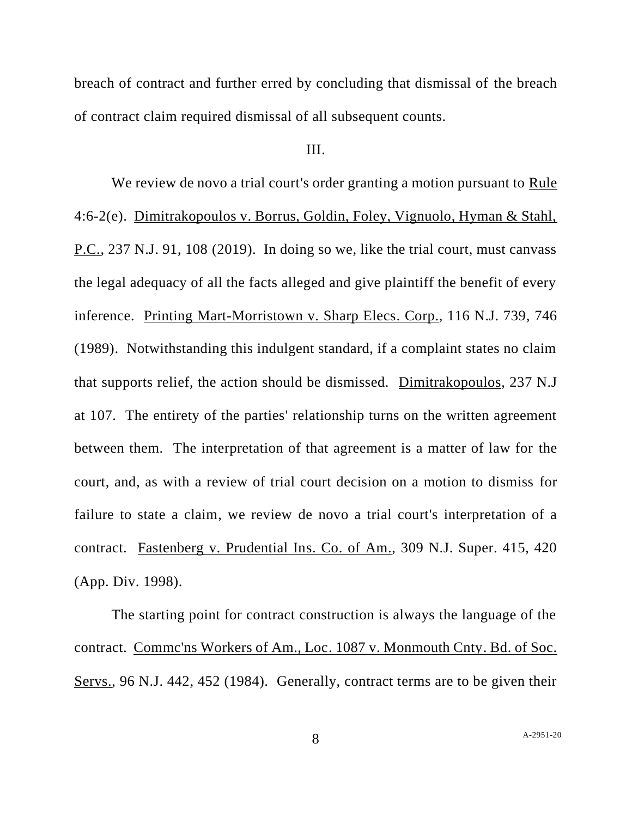breach of contract and further erred by concluding that dismissal of the breach of contract claim required dismissal of all subsequent counts.

## III.

We review de novo a trial court's order granting a motion pursuant to Rule 4:6-2(e). Dimitrakopoulos v. Borrus, Goldin, Foley, Vignuolo, Hyman & Stahl, P.C., 237 N.J. 91, 108 (2019). In doing so we, like the trial court, must canvass the legal adequacy of all the facts alleged and give plaintiff the benefit of every inference. Printing Mart-Morristown v. Sharp Elecs. Corp., 116 N.J. 739, 746 (1989). Notwithstanding this indulgent standard, if a complaint states no claim that supports relief, the action should be dismissed. Dimitrakopoulos, 237 N.J at 107. The entirety of the parties' relationship turns on the written agreement between them. The interpretation of that agreement is a matter of law for the court, and, as with a review of trial court decision on a motion to dismiss for failure to state a claim, we review de novo a trial court's interpretation of a contract. Fastenberg v. Prudential Ins. Co. of Am., 309 N.J. Super. 415, 420 (App. Div. 1998).

The starting point for contract construction is always the language of the contract. Commc'ns Workers of Am., Loc. 1087 v. Monmouth Cnty. Bd. of Soc. Servs., 96 N.J. 442, 452 (1984). Generally, contract terms are to be given their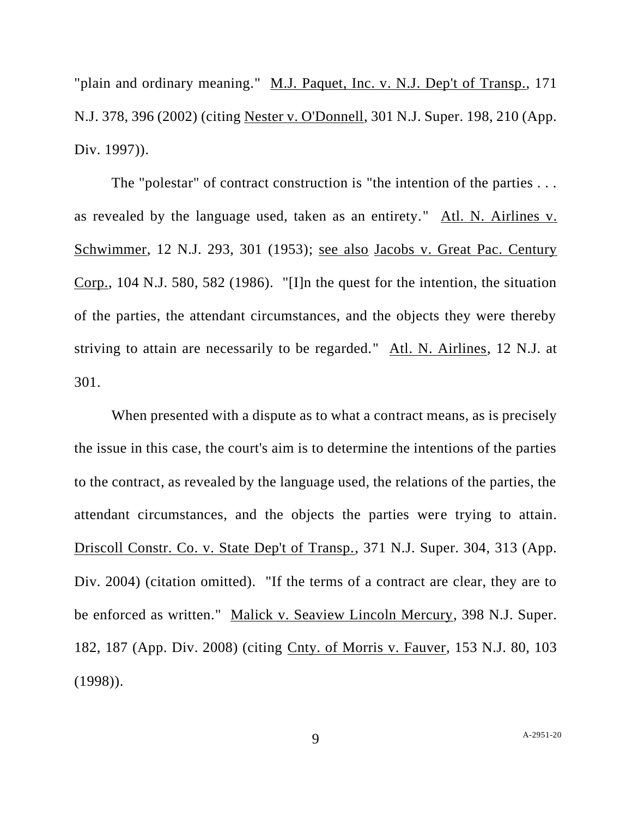"plain and ordinary meaning." M.J. Paquet, Inc. v. N.J. Dep't of Transp., 171 N.J. 378, 396 (2002) (citing Nester v. O'Donnell, 301 N.J. Super. 198, 210 (App. Div. 1997)).

The "polestar" of contract construction is "the intention of the parties . . . as revealed by the language used, taken as an entirety." Atl. N. Airlines v. Schwimmer, 12 N.J. 293, 301 (1953); see also Jacobs v. Great Pac. Century Corp., 104 N.J. 580, 582 (1986). "[I]n the quest for the intention, the situation of the parties, the attendant circumstances, and the objects they were thereby striving to attain are necessarily to be regarded." Atl. N. Airlines, 12 N.J. at 301.

When presented with a dispute as to what a contract means, as is precisely the issue in this case, the court's aim is to determine the intentions of the parties to the contract, as revealed by the language used, the relations of the parties, the attendant circumstances, and the objects the parties were trying to attain. Driscoll Constr. Co. v. State Dep't of Transp., 371 N.J. Super. 304, 313 (App. Div. 2004) (citation omitted). "If the terms of a contract are clear, they are to be enforced as written." Malick v. Seaview Lincoln Mercury, 398 N.J. Super. 182, 187 (App. Div. 2008) (citing Cnty. of Morris v. Fauver, 153 N.J. 80, 103 (1998)).

9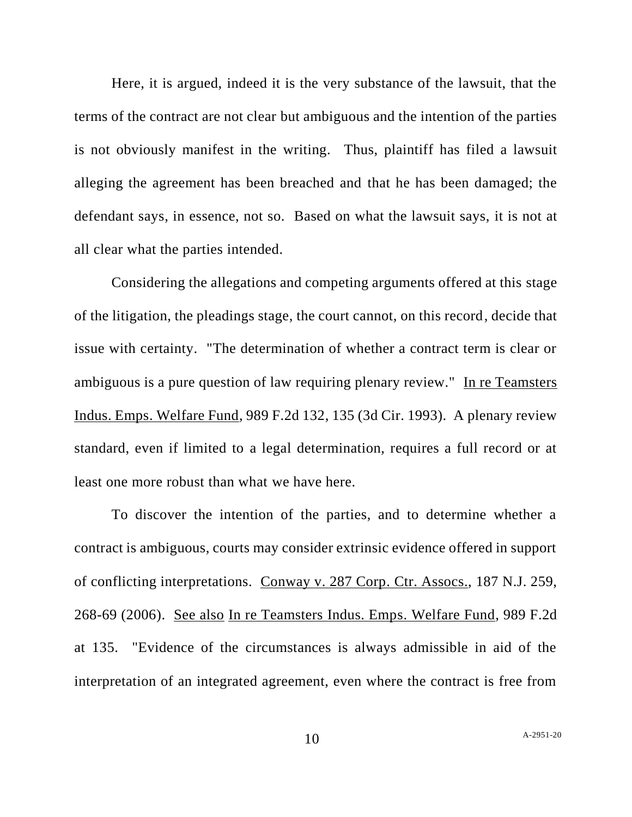Here, it is argued, indeed it is the very substance of the lawsuit, that the terms of the contract are not clear but ambiguous and the intention of the parties is not obviously manifest in the writing. Thus, plaintiff has filed a lawsuit alleging the agreement has been breached and that he has been damaged; the defendant says, in essence, not so. Based on what the lawsuit says, it is not at all clear what the parties intended.

Considering the allegations and competing arguments offered at this stage of the litigation, the pleadings stage, the court cannot, on this record, decide that issue with certainty. "The determination of whether a contract term is clear or ambiguous is a pure question of law requiring plenary review." In re Teamsters Indus. Emps. Welfare Fund, 989 F.2d 132, 135 (3d Cir. 1993). A plenary review standard, even if limited to a legal determination, requires a full record or at least one more robust than what we have here.

To discover the intention of the parties, and to determine whether a contract is ambiguous, courts may consider extrinsic evidence offered in support of conflicting interpretations. Conway v. 287 Corp. Ctr. Assocs., 187 N.J. 259, 268-69 (2006). See also In re Teamsters Indus. Emps. Welfare Fund, 989 F.2d at 135. "Evidence of the circumstances is always admissible in aid of the interpretation of an integrated agreement, even where the contract is free from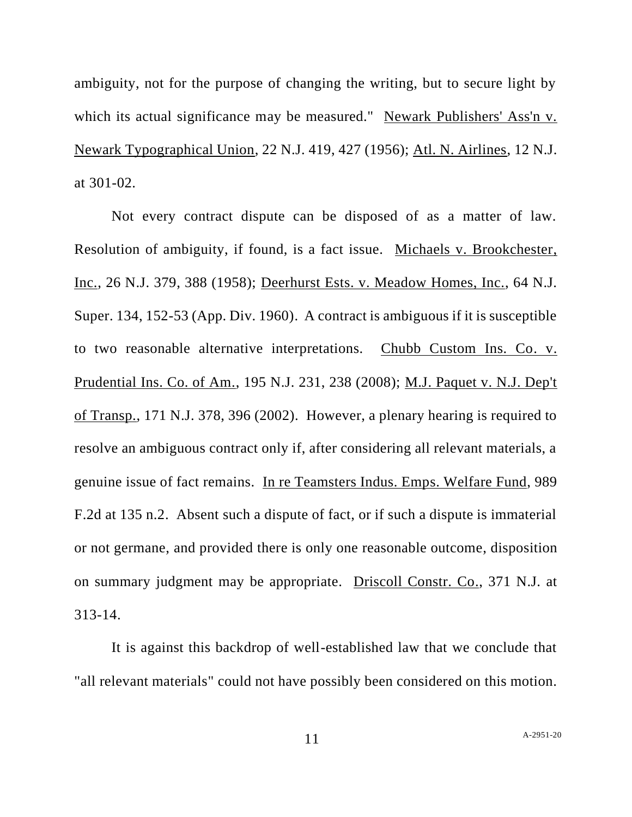ambiguity, not for the purpose of changing the writing, but to secure light by which its actual significance may be measured." Newark Publishers' Ass'n v. Newark Typographical Union, 22 N.J. 419, 427 (1956); Atl. N. Airlines, 12 N.J. at 301-02.

Not every contract dispute can be disposed of as a matter of law. Resolution of ambiguity, if found, is a fact issue. Michaels v. Brookchester, Inc., 26 N.J. 379, 388 (1958); Deerhurst Ests. v. Meadow Homes, Inc., 64 N.J. Super. 134, 152-53 (App. Div. 1960). A contract is ambiguous if it is susceptible to two reasonable alternative interpretations. Chubb Custom Ins. Co. v. Prudential Ins. Co. of Am., 195 N.J. 231, 238 (2008); M.J. Paquet v. N.J. Dep't of Transp., 171 N.J. 378, 396 (2002). However, a plenary hearing is required to resolve an ambiguous contract only if, after considering all relevant materials, a genuine issue of fact remains. In re Teamsters Indus. Emps. Welfare Fund, 989 F.2d at 135 n.2. Absent such a dispute of fact, or if such a dispute is immaterial or not germane, and provided there is only one reasonable outcome, disposition on summary judgment may be appropriate. Driscoll Constr. Co., 371 N.J. at 313-14.

It is against this backdrop of well-established law that we conclude that "all relevant materials" could not have possibly been considered on this motion.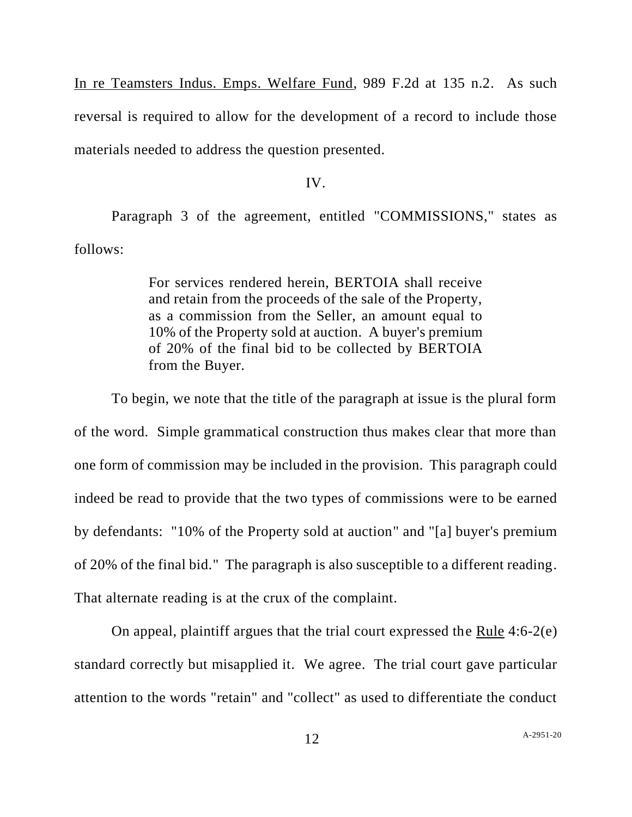In re Teamsters Indus. Emps. Welfare Fund, 989 F.2d at 135 n.2. As such reversal is required to allow for the development of a record to include those materials needed to address the question presented.

# IV.

Paragraph 3 of the agreement, entitled "COMMISSIONS," states as follows:

> For services rendered herein, BERTOIA shall receive and retain from the proceeds of the sale of the Property, as a commission from the Seller, an amount equal to 10% of the Property sold at auction. A buyer's premium of 20% of the final bid to be collected by BERTOIA from the Buyer.

To begin, we note that the title of the paragraph at issue is the plural form of the word. Simple grammatical construction thus makes clear that more than one form of commission may be included in the provision. This paragraph could indeed be read to provide that the two types of commissions were to be earned by defendants: "10% of the Property sold at auction" and "[a] buyer's premium of 20% of the final bid." The paragraph is also susceptible to a different reading. That alternate reading is at the crux of the complaint.

On appeal, plaintiff argues that the trial court expressed the Rule 4:6-2(e) standard correctly but misapplied it. We agree. The trial court gave particular attention to the words "retain" and "collect" as used to differentiate the conduct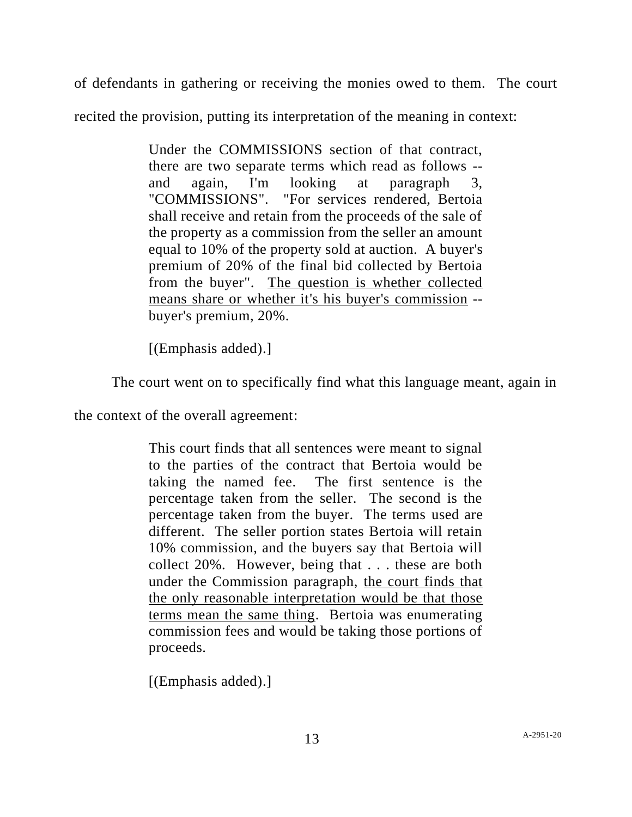of defendants in gathering or receiving the monies owed to them. The court

recited the provision, putting its interpretation of the meaning in context:

Under the COMMISSIONS section of that contract, there are two separate terms which read as follows - and again, I'm looking at paragraph 3, "COMMISSIONS". "For services rendered, Bertoia shall receive and retain from the proceeds of the sale of the property as a commission from the seller an amount equal to 10% of the property sold at auction. A buyer's premium of 20% of the final bid collected by Bertoia from the buyer". The question is whether collected means share or whether it's his buyer's commission - buyer's premium, 20%.

[(Emphasis added).]

The court went on to specifically find what this language meant, again in

the context of the overall agreement:

This court finds that all sentences were meant to signal to the parties of the contract that Bertoia would be taking the named fee. The first sentence is the percentage taken from the seller. The second is the percentage taken from the buyer. The terms used are different. The seller portion states Bertoia will retain 10% commission, and the buyers say that Bertoia will collect 20%. However, being that . . . these are both under the Commission paragraph, the court finds that the only reasonable interpretation would be that those terms mean the same thing. Bertoia was enumerating commission fees and would be taking those portions of proceeds.

[(Emphasis added).]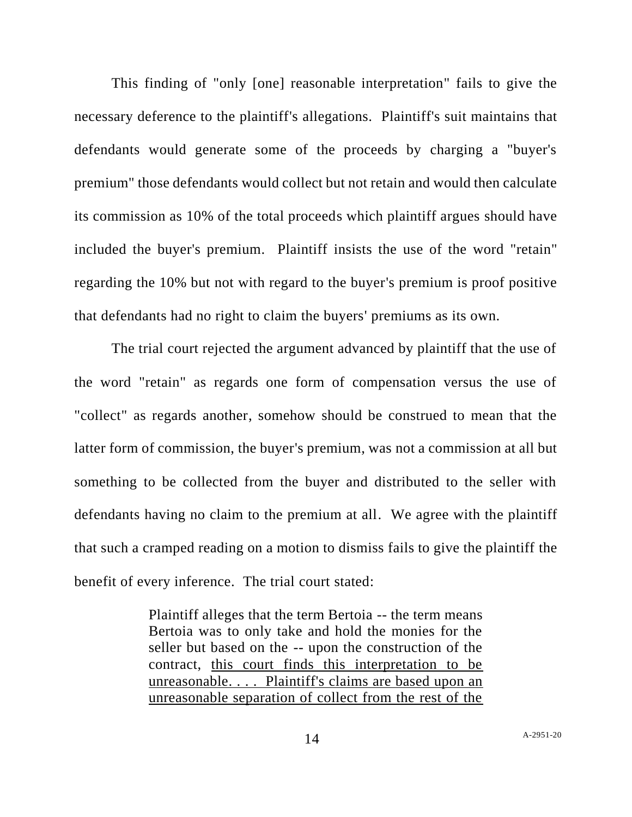This finding of "only [one] reasonable interpretation" fails to give the necessary deference to the plaintiff's allegations. Plaintiff's suit maintains that defendants would generate some of the proceeds by charging a "buyer's premium" those defendants would collect but not retain and would then calculate its commission as 10% of the total proceeds which plaintiff argues should have included the buyer's premium. Plaintiff insists the use of the word "retain" regarding the 10% but not with regard to the buyer's premium is proof positive that defendants had no right to claim the buyers' premiums as its own.

The trial court rejected the argument advanced by plaintiff that the use of the word "retain" as regards one form of compensation versus the use of "collect" as regards another, somehow should be construed to mean that the latter form of commission, the buyer's premium, was not a commission at all but something to be collected from the buyer and distributed to the seller with defendants having no claim to the premium at all. We agree with the plaintiff that such a cramped reading on a motion to dismiss fails to give the plaintiff the benefit of every inference. The trial court stated:

> Plaintiff alleges that the term Bertoia -- the term means Bertoia was to only take and hold the monies for the seller but based on the -- upon the construction of the contract, this court finds this interpretation to be unreasonable. . . . Plaintiff's claims are based upon an unreasonable separation of collect from the rest of the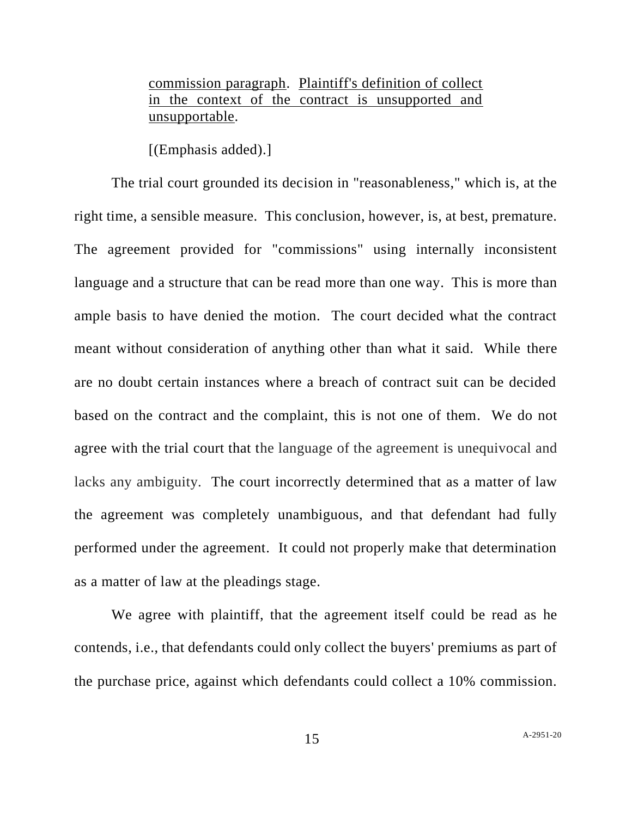commission paragraph. Plaintiff's definition of collect in the context of the contract is unsupported and unsupportable.

[(Emphasis added).]

The trial court grounded its decision in "reasonableness," which is, at the right time, a sensible measure. This conclusion, however, is, at best, premature. The agreement provided for "commissions" using internally inconsistent language and a structure that can be read more than one way. This is more than ample basis to have denied the motion. The court decided what the contract meant without consideration of anything other than what it said. While there are no doubt certain instances where a breach of contract suit can be decided based on the contract and the complaint, this is not one of them. We do not agree with the trial court that the language of the agreement is unequivocal and lacks any ambiguity. The court incorrectly determined that as a matter of law the agreement was completely unambiguous, and that defendant had fully performed under the agreement. It could not properly make that determination as a matter of law at the pleadings stage.

We agree with plaintiff, that the agreement itself could be read as he contends, i.e., that defendants could only collect the buyers' premiums as part of the purchase price, against which defendants could collect a 10% commission.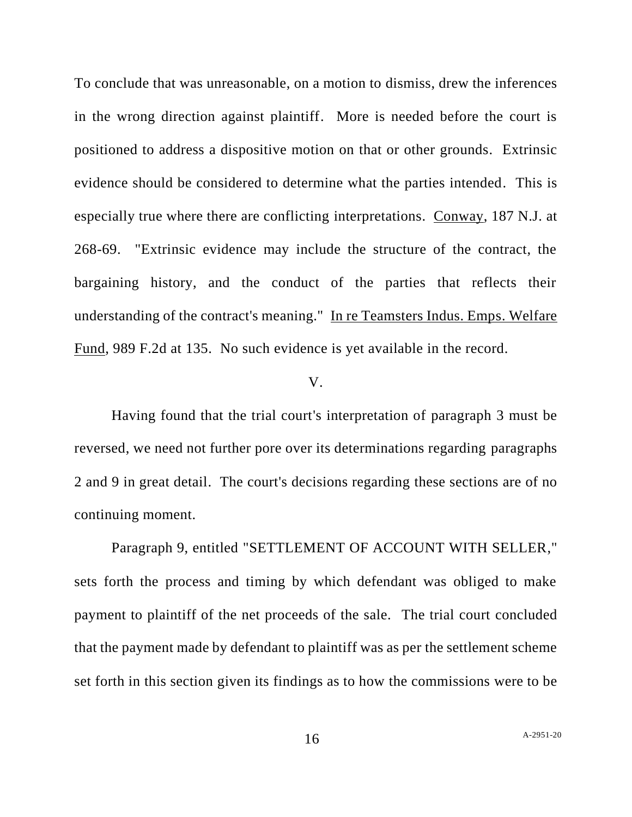To conclude that was unreasonable, on a motion to dismiss, drew the inferences in the wrong direction against plaintiff. More is needed before the court is positioned to address a dispositive motion on that or other grounds. Extrinsic evidence should be considered to determine what the parties intended. This is especially true where there are conflicting interpretations. Conway, 187 N.J. at 268-69. "Extrinsic evidence may include the structure of the contract, the bargaining history, and the conduct of the parties that reflects their understanding of the contract's meaning." In re Teamsters Indus. Emps. Welfare Fund, 989 F.2d at 135. No such evidence is yet available in the record.

## V.

Having found that the trial court's interpretation of paragraph 3 must be reversed, we need not further pore over its determinations regarding paragraphs 2 and 9 in great detail. The court's decisions regarding these sections are of no continuing moment.

Paragraph 9, entitled "SETTLEMENT OF ACCOUNT WITH SELLER," sets forth the process and timing by which defendant was obliged to make payment to plaintiff of the net proceeds of the sale. The trial court concluded that the payment made by defendant to plaintiff was as per the settlement scheme set forth in this section given its findings as to how the commissions were to be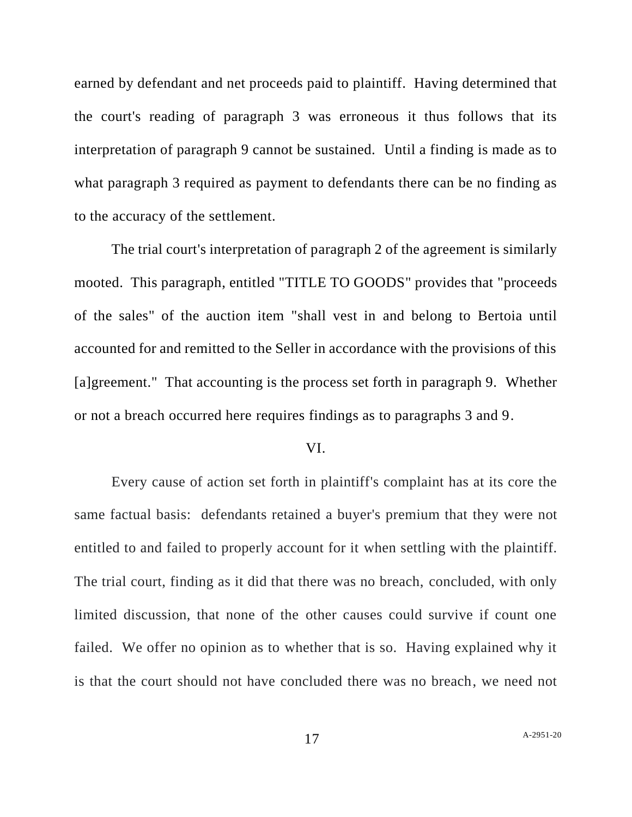earned by defendant and net proceeds paid to plaintiff. Having determined that the court's reading of paragraph 3 was erroneous it thus follows that its interpretation of paragraph 9 cannot be sustained. Until a finding is made as to what paragraph 3 required as payment to defendants there can be no finding as to the accuracy of the settlement.

The trial court's interpretation of paragraph 2 of the agreement is similarly mooted. This paragraph, entitled "TITLE TO GOODS" provides that "proceeds of the sales" of the auction item "shall vest in and belong to Bertoia until accounted for and remitted to the Seller in accordance with the provisions of this [a]greement." That accounting is the process set forth in paragraph 9. Whether or not a breach occurred here requires findings as to paragraphs 3 and 9.

### VI.

Every cause of action set forth in plaintiff's complaint has at its core the same factual basis: defendants retained a buyer's premium that they were not entitled to and failed to properly account for it when settling with the plaintiff. The trial court, finding as it did that there was no breach, concluded, with only limited discussion, that none of the other causes could survive if count one failed. We offer no opinion as to whether that is so. Having explained why it is that the court should not have concluded there was no breach, we need not